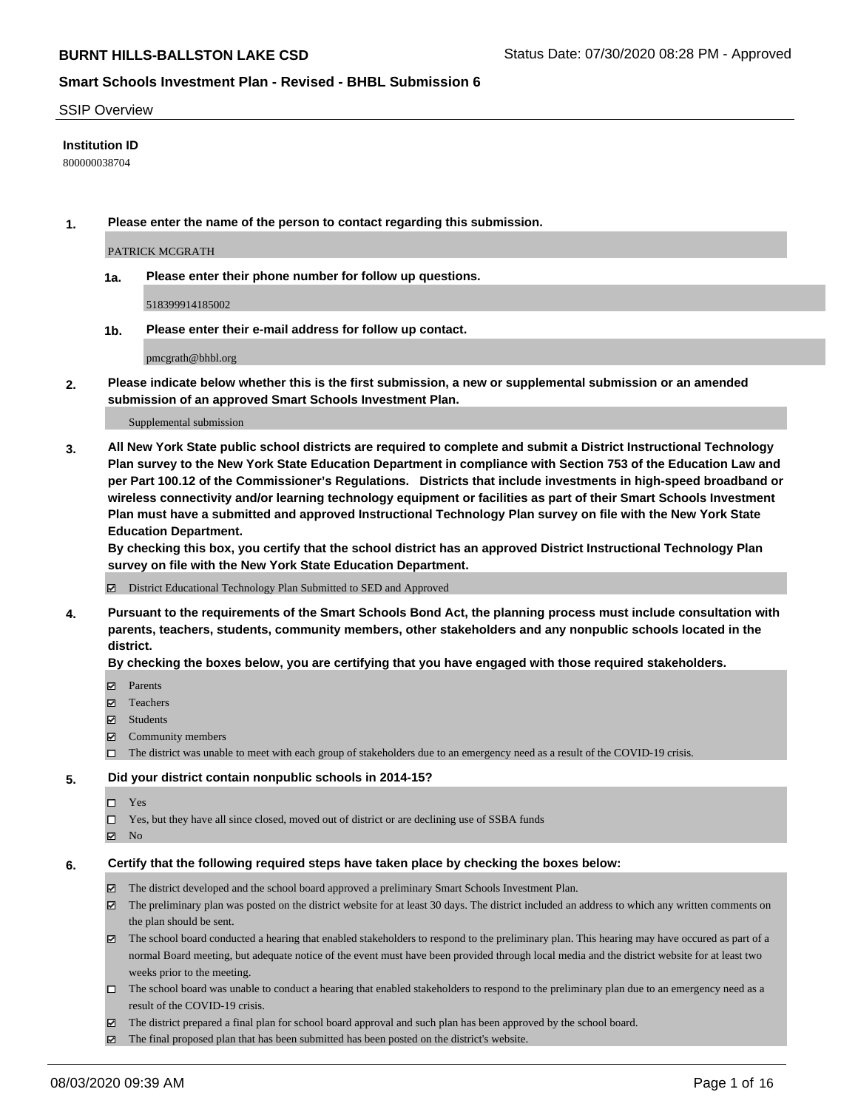### SSIP Overview

## **Institution ID**

800000038704

**1. Please enter the name of the person to contact regarding this submission.**

PATRICK MCGRATH

**1a. Please enter their phone number for follow up questions.**

518399914185002

**1b. Please enter their e-mail address for follow up contact.**

pmcgrath@bhbl.org

**2. Please indicate below whether this is the first submission, a new or supplemental submission or an amended submission of an approved Smart Schools Investment Plan.**

#### Supplemental submission

**3. All New York State public school districts are required to complete and submit a District Instructional Technology Plan survey to the New York State Education Department in compliance with Section 753 of the Education Law and per Part 100.12 of the Commissioner's Regulations. Districts that include investments in high-speed broadband or wireless connectivity and/or learning technology equipment or facilities as part of their Smart Schools Investment Plan must have a submitted and approved Instructional Technology Plan survey on file with the New York State Education Department.** 

**By checking this box, you certify that the school district has an approved District Instructional Technology Plan survey on file with the New York State Education Department.**

District Educational Technology Plan Submitted to SED and Approved

**4. Pursuant to the requirements of the Smart Schools Bond Act, the planning process must include consultation with parents, teachers, students, community members, other stakeholders and any nonpublic schools located in the district.** 

### **By checking the boxes below, you are certifying that you have engaged with those required stakeholders.**

- **□** Parents
- Teachers
- Students
- $\boxtimes$  Community members
- The district was unable to meet with each group of stakeholders due to an emergency need as a result of the COVID-19 crisis.

### **5. Did your district contain nonpublic schools in 2014-15?**

- $\neg$  Yes
- Yes, but they have all since closed, moved out of district or are declining use of SSBA funds
- **Z** No

### **6. Certify that the following required steps have taken place by checking the boxes below:**

- The district developed and the school board approved a preliminary Smart Schools Investment Plan.
- $\boxtimes$  The preliminary plan was posted on the district website for at least 30 days. The district included an address to which any written comments on the plan should be sent.
- The school board conducted a hearing that enabled stakeholders to respond to the preliminary plan. This hearing may have occured as part of a normal Board meeting, but adequate notice of the event must have been provided through local media and the district website for at least two weeks prior to the meeting.
- The school board was unable to conduct a hearing that enabled stakeholders to respond to the preliminary plan due to an emergency need as a result of the COVID-19 crisis.
- The district prepared a final plan for school board approval and such plan has been approved by the school board.
- $\boxtimes$  The final proposed plan that has been submitted has been posted on the district's website.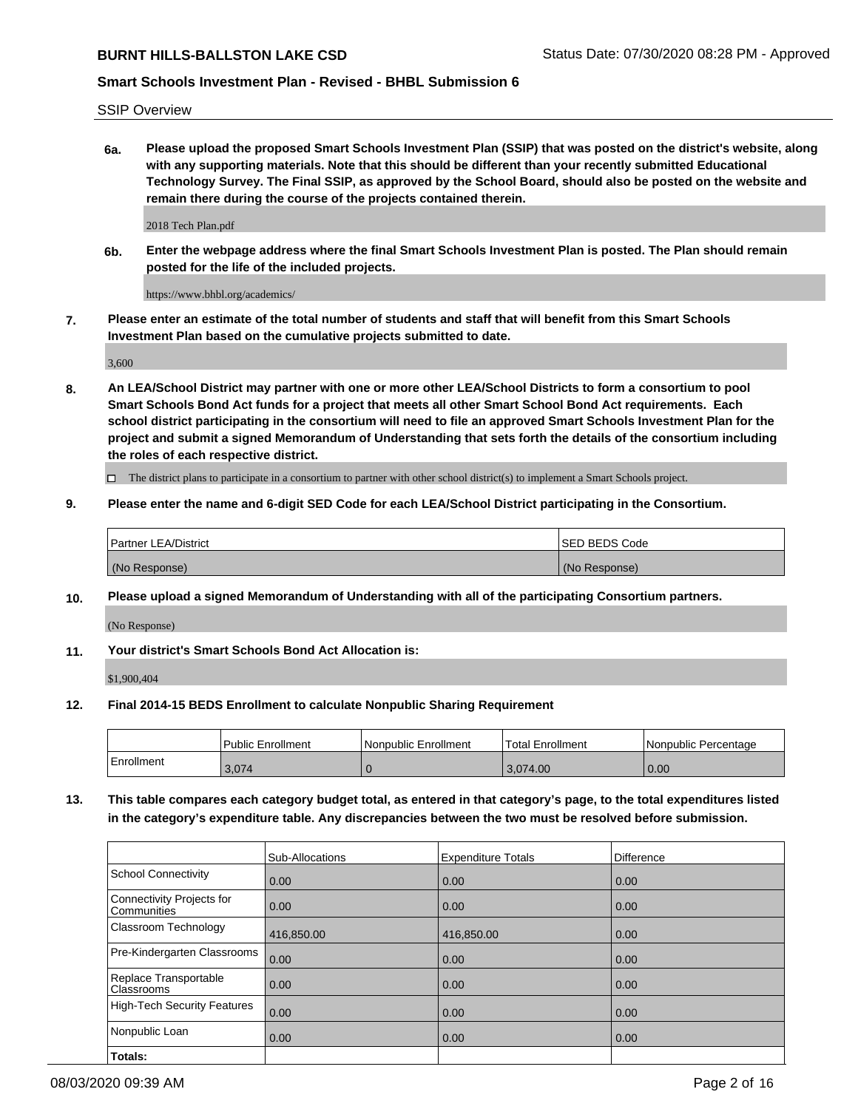SSIP Overview

**6a. Please upload the proposed Smart Schools Investment Plan (SSIP) that was posted on the district's website, along with any supporting materials. Note that this should be different than your recently submitted Educational Technology Survey. The Final SSIP, as approved by the School Board, should also be posted on the website and remain there during the course of the projects contained therein.**

2018 Tech Plan.pdf

**6b. Enter the webpage address where the final Smart Schools Investment Plan is posted. The Plan should remain posted for the life of the included projects.**

https://www.bhbl.org/academics/

**7. Please enter an estimate of the total number of students and staff that will benefit from this Smart Schools Investment Plan based on the cumulative projects submitted to date.**

3,600

**8. An LEA/School District may partner with one or more other LEA/School Districts to form a consortium to pool Smart Schools Bond Act funds for a project that meets all other Smart School Bond Act requirements. Each school district participating in the consortium will need to file an approved Smart Schools Investment Plan for the project and submit a signed Memorandum of Understanding that sets forth the details of the consortium including the roles of each respective district.**

 $\Box$  The district plans to participate in a consortium to partner with other school district(s) to implement a Smart Schools project.

## **9. Please enter the name and 6-digit SED Code for each LEA/School District participating in the Consortium.**

| Partner LEA/District | ISED BEDS Code |
|----------------------|----------------|
| (No Response)        | (No Response)  |

### **10. Please upload a signed Memorandum of Understanding with all of the participating Consortium partners.**

(No Response)

### **11. Your district's Smart Schools Bond Act Allocation is:**

\$1,900,404

### **12. Final 2014-15 BEDS Enrollment to calculate Nonpublic Sharing Requirement**

|            | Public Enrollment | Nonpublic Enrollment | Total Enrollment | l Nonpublic Percentage |
|------------|-------------------|----------------------|------------------|------------------------|
| Enrollment | 3,074             |                      | 3,074.00         | 0.00                   |

**13. This table compares each category budget total, as entered in that category's page, to the total expenditures listed in the category's expenditure table. Any discrepancies between the two must be resolved before submission.**

|                                          | Sub-Allocations | <b>Expenditure Totals</b> | Difference |
|------------------------------------------|-----------------|---------------------------|------------|
| <b>School Connectivity</b>               | 0.00            | 0.00                      | 0.00       |
| Connectivity Projects for<br>Communities | 0.00            | 0.00                      | 0.00       |
| Classroom Technology                     | 416,850.00      | 416,850.00                | 0.00       |
| Pre-Kindergarten Classrooms              | 0.00            | 0.00                      | 0.00       |
| Replace Transportable<br>Classrooms      | 0.00            | 0.00                      | 0.00       |
| <b>High-Tech Security Features</b>       | 0.00            | 0.00                      | 0.00       |
| Nonpublic Loan                           | 0.00            | 0.00                      | 0.00       |
| Totals:                                  |                 |                           |            |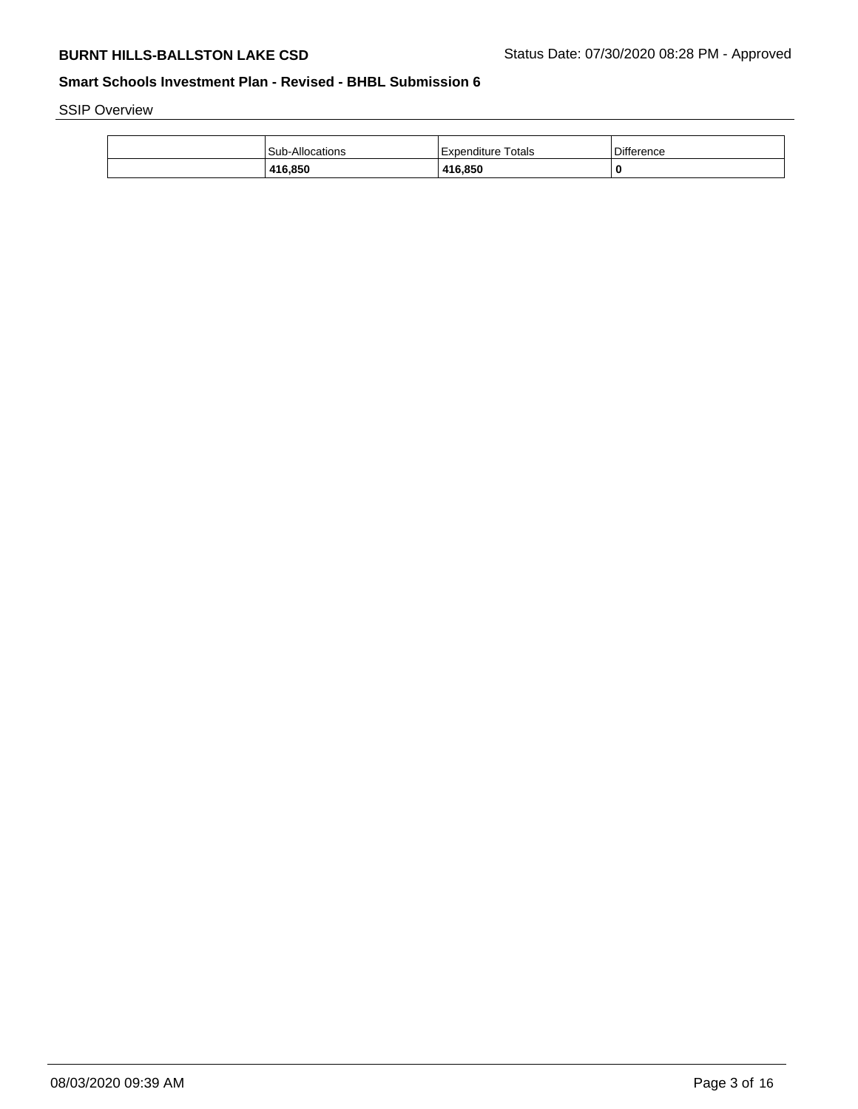SSIP Overview

| Sub-Allocations | Expenditure Totals | <b>Difference</b> |
|-----------------|--------------------|-------------------|
| 416.850         | 416.850            | C                 |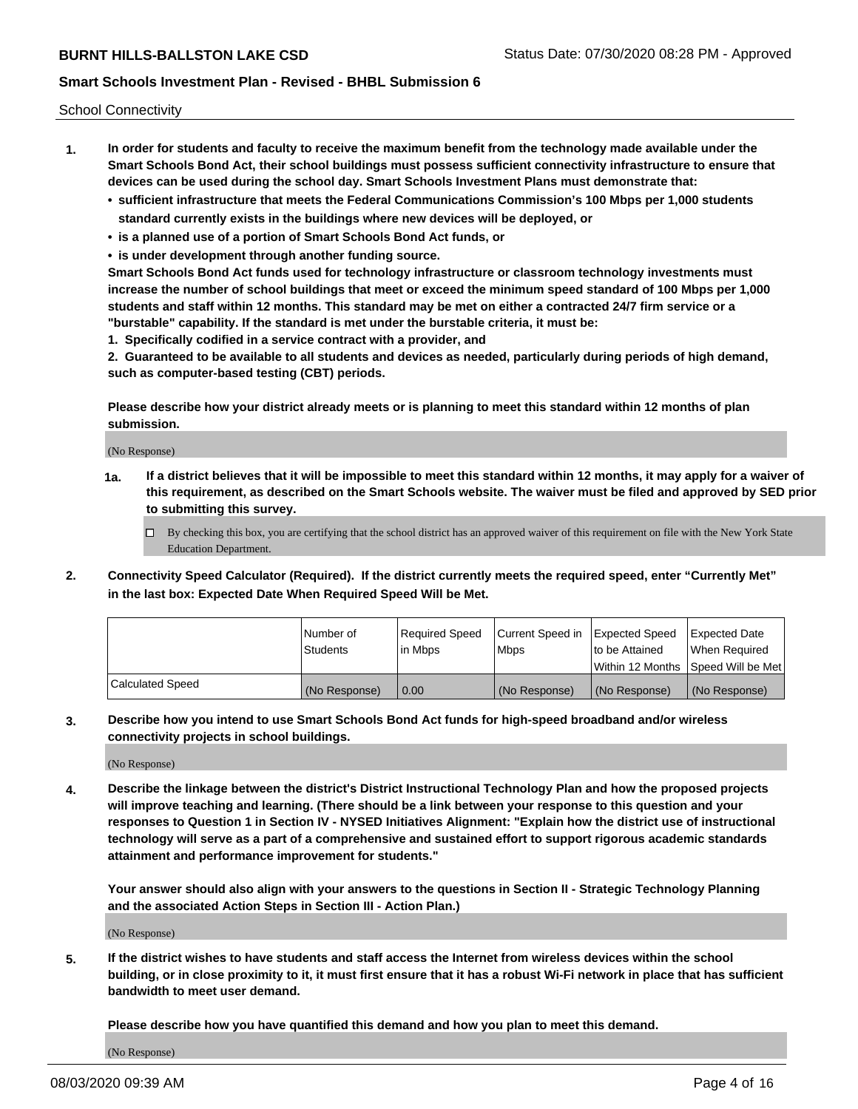School Connectivity

- **1. In order for students and faculty to receive the maximum benefit from the technology made available under the Smart Schools Bond Act, their school buildings must possess sufficient connectivity infrastructure to ensure that devices can be used during the school day. Smart Schools Investment Plans must demonstrate that:**
	- **• sufficient infrastructure that meets the Federal Communications Commission's 100 Mbps per 1,000 students standard currently exists in the buildings where new devices will be deployed, or**
	- **• is a planned use of a portion of Smart Schools Bond Act funds, or**
	- **• is under development through another funding source.**

**Smart Schools Bond Act funds used for technology infrastructure or classroom technology investments must increase the number of school buildings that meet or exceed the minimum speed standard of 100 Mbps per 1,000 students and staff within 12 months. This standard may be met on either a contracted 24/7 firm service or a "burstable" capability. If the standard is met under the burstable criteria, it must be:**

**1. Specifically codified in a service contract with a provider, and**

**2. Guaranteed to be available to all students and devices as needed, particularly during periods of high demand, such as computer-based testing (CBT) periods.**

**Please describe how your district already meets or is planning to meet this standard within 12 months of plan submission.**

(No Response)

**1a. If a district believes that it will be impossible to meet this standard within 12 months, it may apply for a waiver of this requirement, as described on the Smart Schools website. The waiver must be filed and approved by SED prior to submitting this survey.**

 $\Box$  By checking this box, you are certifying that the school district has an approved waiver of this requirement on file with the New York State Education Department.

**2. Connectivity Speed Calculator (Required). If the district currently meets the required speed, enter "Currently Met" in the last box: Expected Date When Required Speed Will be Met.**

|                  | l Number of     | Required Speed | Current Speed in | Expected Speed | Expected Date                           |
|------------------|-----------------|----------------|------------------|----------------|-----------------------------------------|
|                  | <b>Students</b> | In Mbps        | l Mbps           | to be Attained | When Required                           |
|                  |                 |                |                  |                | l Within 12 Months ISpeed Will be Met l |
| Calculated Speed | (No Response)   | 0.00           | (No Response)    | (No Response)  | (No Response)                           |

**3. Describe how you intend to use Smart Schools Bond Act funds for high-speed broadband and/or wireless connectivity projects in school buildings.**

(No Response)

**4. Describe the linkage between the district's District Instructional Technology Plan and how the proposed projects will improve teaching and learning. (There should be a link between your response to this question and your responses to Question 1 in Section IV - NYSED Initiatives Alignment: "Explain how the district use of instructional technology will serve as a part of a comprehensive and sustained effort to support rigorous academic standards attainment and performance improvement for students."** 

**Your answer should also align with your answers to the questions in Section II - Strategic Technology Planning and the associated Action Steps in Section III - Action Plan.)**

(No Response)

**5. If the district wishes to have students and staff access the Internet from wireless devices within the school building, or in close proximity to it, it must first ensure that it has a robust Wi-Fi network in place that has sufficient bandwidth to meet user demand.**

**Please describe how you have quantified this demand and how you plan to meet this demand.**

(No Response)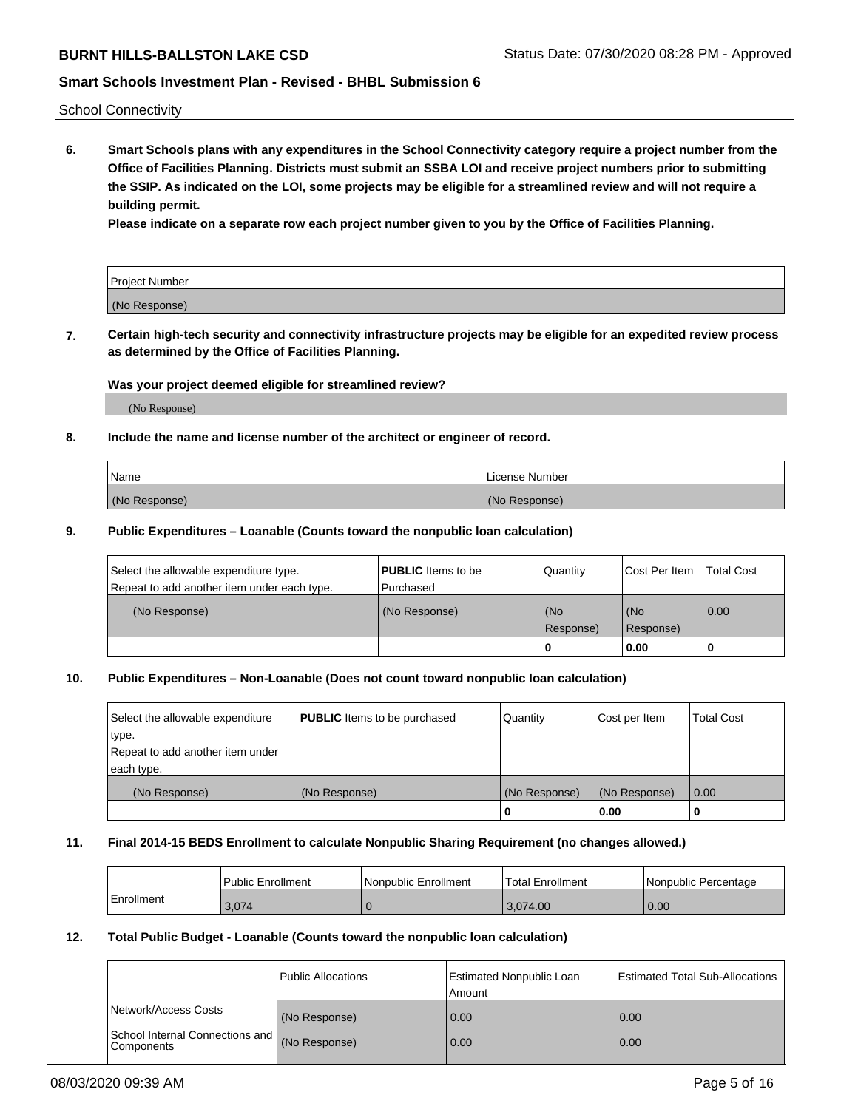School Connectivity

**6. Smart Schools plans with any expenditures in the School Connectivity category require a project number from the Office of Facilities Planning. Districts must submit an SSBA LOI and receive project numbers prior to submitting the SSIP. As indicated on the LOI, some projects may be eligible for a streamlined review and will not require a building permit.**

**Please indicate on a separate row each project number given to you by the Office of Facilities Planning.**

| Project Number |  |
|----------------|--|
| (No Response)  |  |

**7. Certain high-tech security and connectivity infrastructure projects may be eligible for an expedited review process as determined by the Office of Facilities Planning.**

## **Was your project deemed eligible for streamlined review?**

(No Response)

## **8. Include the name and license number of the architect or engineer of record.**

| Name          | License Number |
|---------------|----------------|
| (No Response) | (No Response)  |

## **9. Public Expenditures – Loanable (Counts toward the nonpublic loan calculation)**

| Select the allowable expenditure type.<br>Repeat to add another item under each type. | <b>PUBLIC</b> Items to be<br>l Purchased | Quantity           | Cost Per Item    | <b>Total Cost</b> |
|---------------------------------------------------------------------------------------|------------------------------------------|--------------------|------------------|-------------------|
| (No Response)                                                                         | (No Response)                            | l (No<br>Response) | (No<br>Response) | $\overline{0.00}$ |
|                                                                                       |                                          | O                  | 0.00             |                   |

# **10. Public Expenditures – Non-Loanable (Does not count toward nonpublic loan calculation)**

| Select the allowable expenditure<br>type.<br>Repeat to add another item under<br>each type. | <b>PUBLIC</b> Items to be purchased | Quantity      | Cost per Item | <b>Total Cost</b> |
|---------------------------------------------------------------------------------------------|-------------------------------------|---------------|---------------|-------------------|
| (No Response)                                                                               | (No Response)                       | (No Response) | (No Response) | 0.00              |
|                                                                                             |                                     |               | 0.00          |                   |

### **11. Final 2014-15 BEDS Enrollment to calculate Nonpublic Sharing Requirement (no changes allowed.)**

|            | Public Enrollment | l Nonpublic Enrollment | <b>Total Enrollment</b> | Nonpublic Percentage |
|------------|-------------------|------------------------|-------------------------|----------------------|
| Enrollment | 3,074             |                        | 3.074.00                | 0.00                 |

## **12. Total Public Budget - Loanable (Counts toward the nonpublic loan calculation)**

|                                               | Public Allocations | <b>Estimated Nonpublic Loan</b><br>Amount | Estimated Total Sub-Allocations |
|-----------------------------------------------|--------------------|-------------------------------------------|---------------------------------|
| Network/Access Costs                          | (No Response)      | 0.00                                      | 0.00                            |
| School Internal Connections and<br>Components | (No Response)      | 0.00                                      | 0.00                            |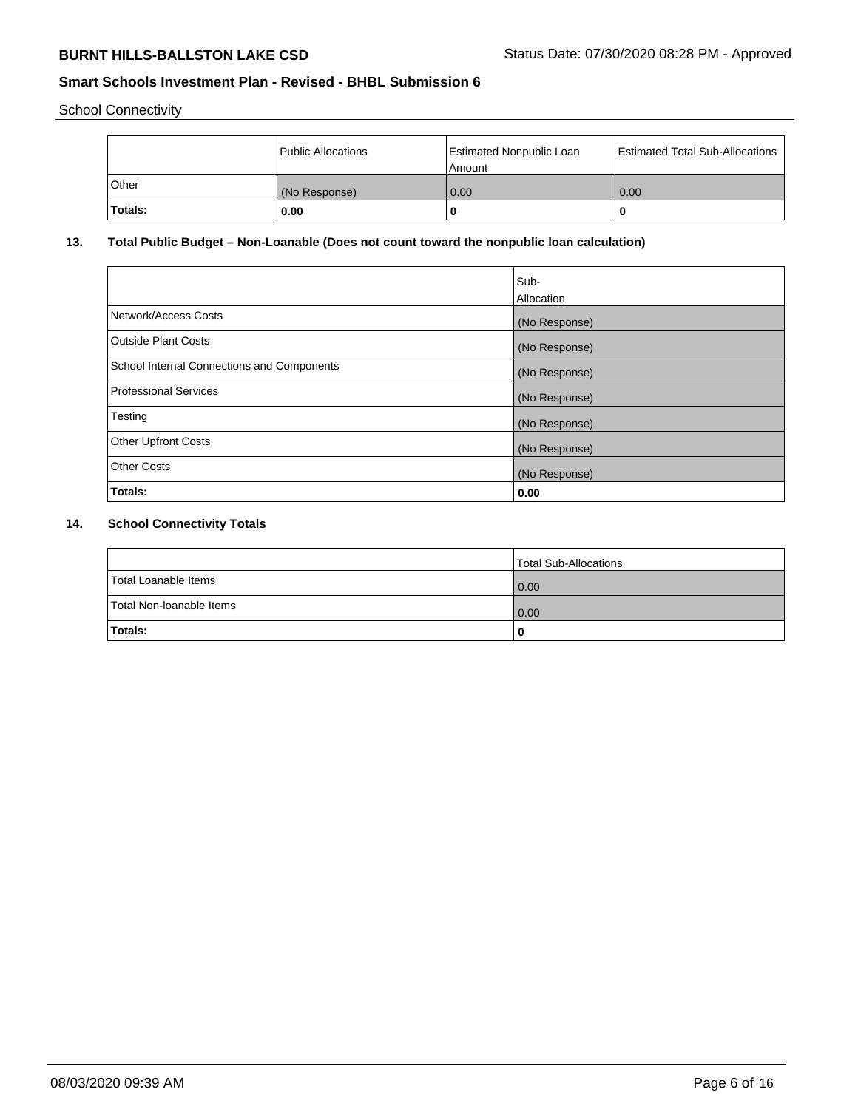School Connectivity

|              | Public Allocations | <b>Estimated Nonpublic Loan</b><br>Amount | <b>Estimated Total Sub-Allocations</b> |
|--------------|--------------------|-------------------------------------------|----------------------------------------|
| <b>Other</b> | (No Response)      | 0.00                                      | 0.00                                   |
| Totals:      | 0.00               |                                           | 0                                      |

# **13. Total Public Budget – Non-Loanable (Does not count toward the nonpublic loan calculation)**

| Sub-<br>Allocation |
|--------------------|
| (No Response)      |
| (No Response)      |
| (No Response)      |
| (No Response)      |
| (No Response)      |
| (No Response)      |
| (No Response)      |
| 0.00               |
|                    |

# **14. School Connectivity Totals**

|                          | Total Sub-Allocations |
|--------------------------|-----------------------|
| Total Loanable Items     | 0.00                  |
| Total Non-Ioanable Items | 0.00                  |
| Totals:                  |                       |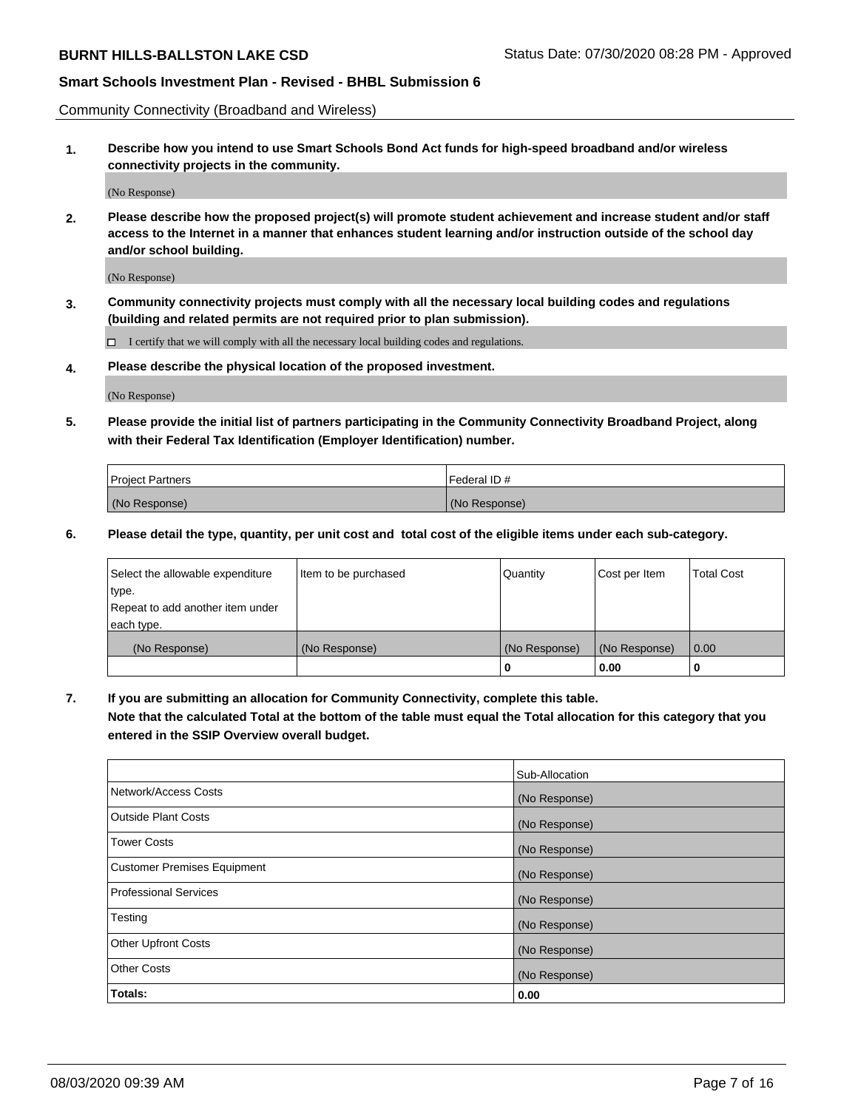Community Connectivity (Broadband and Wireless)

**1. Describe how you intend to use Smart Schools Bond Act funds for high-speed broadband and/or wireless connectivity projects in the community.**

(No Response)

**2. Please describe how the proposed project(s) will promote student achievement and increase student and/or staff access to the Internet in a manner that enhances student learning and/or instruction outside of the school day and/or school building.**

(No Response)

**3. Community connectivity projects must comply with all the necessary local building codes and regulations (building and related permits are not required prior to plan submission).**

 $\Box$  I certify that we will comply with all the necessary local building codes and regulations.

**4. Please describe the physical location of the proposed investment.**

(No Response)

**5. Please provide the initial list of partners participating in the Community Connectivity Broadband Project, along with their Federal Tax Identification (Employer Identification) number.**

| <b>Project Partners</b> | l Federal ID # |
|-------------------------|----------------|
| (No Response)           | (No Response)  |

**6. Please detail the type, quantity, per unit cost and total cost of the eligible items under each sub-category.**

| Select the allowable expenditure | Item to be purchased | Quantity      | Cost per Item | <b>Total Cost</b> |
|----------------------------------|----------------------|---------------|---------------|-------------------|
| type.                            |                      |               |               |                   |
| Repeat to add another item under |                      |               |               |                   |
| each type.                       |                      |               |               |                   |
| (No Response)                    | (No Response)        | (No Response) | (No Response) | 0.00              |
|                                  |                      | o             | 0.00          |                   |

**7. If you are submitting an allocation for Community Connectivity, complete this table.**

**Note that the calculated Total at the bottom of the table must equal the Total allocation for this category that you entered in the SSIP Overview overall budget.**

|                                    | Sub-Allocation |
|------------------------------------|----------------|
| Network/Access Costs               | (No Response)  |
| Outside Plant Costs                | (No Response)  |
| <b>Tower Costs</b>                 | (No Response)  |
| <b>Customer Premises Equipment</b> | (No Response)  |
| <b>Professional Services</b>       | (No Response)  |
| Testing                            | (No Response)  |
| <b>Other Upfront Costs</b>         | (No Response)  |
| <b>Other Costs</b>                 | (No Response)  |
| Totals:                            | 0.00           |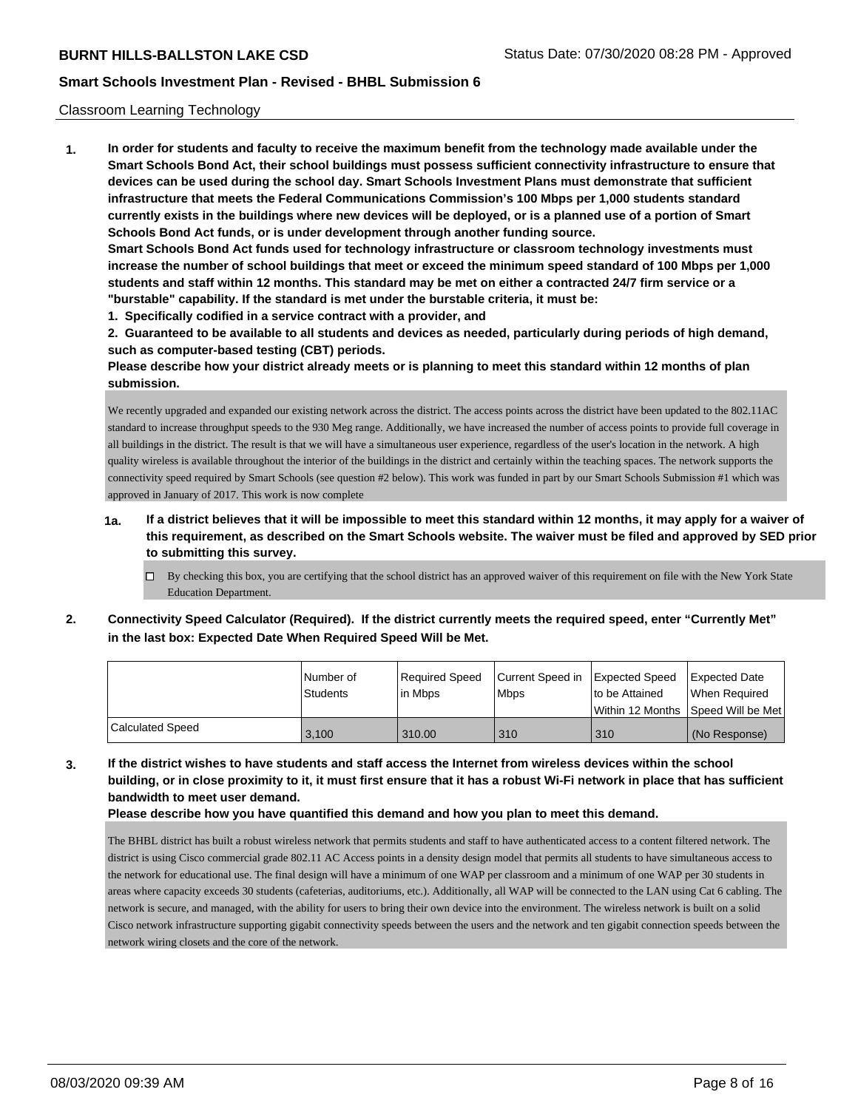## Classroom Learning Technology

**1. In order for students and faculty to receive the maximum benefit from the technology made available under the Smart Schools Bond Act, their school buildings must possess sufficient connectivity infrastructure to ensure that devices can be used during the school day. Smart Schools Investment Plans must demonstrate that sufficient infrastructure that meets the Federal Communications Commission's 100 Mbps per 1,000 students standard currently exists in the buildings where new devices will be deployed, or is a planned use of a portion of Smart Schools Bond Act funds, or is under development through another funding source. Smart Schools Bond Act funds used for technology infrastructure or classroom technology investments must increase the number of school buildings that meet or exceed the minimum speed standard of 100 Mbps per 1,000 students and staff within 12 months. This standard may be met on either a contracted 24/7 firm service or a "burstable" capability. If the standard is met under the burstable criteria, it must be:**

**1. Specifically codified in a service contract with a provider, and**

**2. Guaranteed to be available to all students and devices as needed, particularly during periods of high demand, such as computer-based testing (CBT) periods.**

**Please describe how your district already meets or is planning to meet this standard within 12 months of plan submission.**

We recently upgraded and expanded our existing network across the district. The access points across the district have been updated to the 802.11AC standard to increase throughput speeds to the 930 Meg range. Additionally, we have increased the number of access points to provide full coverage in all buildings in the district. The result is that we will have a simultaneous user experience, regardless of the user's location in the network. A high quality wireless is available throughout the interior of the buildings in the district and certainly within the teaching spaces. The network supports the connectivity speed required by Smart Schools (see question #2 below). This work was funded in part by our Smart Schools Submission #1 which was approved in January of 2017. This work is now complete

- **1a. If a district believes that it will be impossible to meet this standard within 12 months, it may apply for a waiver of this requirement, as described on the Smart Schools website. The waiver must be filed and approved by SED prior to submitting this survey.**
	- $\Box$  By checking this box, you are certifying that the school district has an approved waiver of this requirement on file with the New York State Education Department.
- **2. Connectivity Speed Calculator (Required). If the district currently meets the required speed, enter "Currently Met" in the last box: Expected Date When Required Speed Will be Met.**

|                         | l Number of<br><b>Students</b> | Required Speed<br>l in Mbps | Current Speed in<br>l Mbps | Expected Speed<br>to be Attained<br>l Within 12 Months ISpeed Will be Met | Expected Date<br>When Required |
|-------------------------|--------------------------------|-----------------------------|----------------------------|---------------------------------------------------------------------------|--------------------------------|
| <b>Calculated Speed</b> | 3.100                          | 310.00                      | 310                        | 310                                                                       | (No Response)                  |

**3. If the district wishes to have students and staff access the Internet from wireless devices within the school building, or in close proximity to it, it must first ensure that it has a robust Wi-Fi network in place that has sufficient bandwidth to meet user demand.**

**Please describe how you have quantified this demand and how you plan to meet this demand.**

The BHBL district has built a robust wireless network that permits students and staff to have authenticated access to a content filtered network. The district is using Cisco commercial grade 802.11 AC Access points in a density design model that permits all students to have simultaneous access to the network for educational use. The final design will have a minimum of one WAP per classroom and a minimum of one WAP per 30 students in areas where capacity exceeds 30 students (cafeterias, auditoriums, etc.). Additionally, all WAP will be connected to the LAN using Cat 6 cabling. The network is secure, and managed, with the ability for users to bring their own device into the environment. The wireless network is built on a solid Cisco network infrastructure supporting gigabit connectivity speeds between the users and the network and ten gigabit connection speeds between the network wiring closets and the core of the network.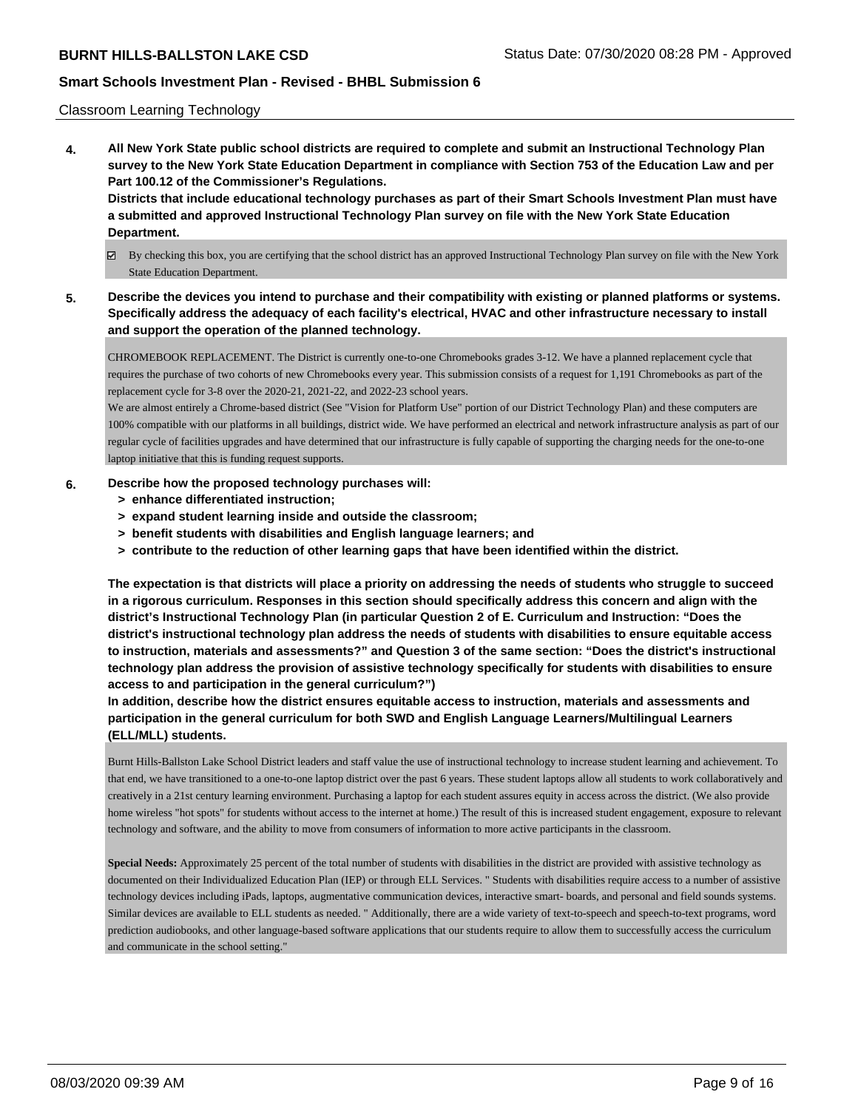## Classroom Learning Technology

**4. All New York State public school districts are required to complete and submit an Instructional Technology Plan survey to the New York State Education Department in compliance with Section 753 of the Education Law and per Part 100.12 of the Commissioner's Regulations. Districts that include educational technology purchases as part of their Smart Schools Investment Plan must have**

**a submitted and approved Instructional Technology Plan survey on file with the New York State Education Department.**

- By checking this box, you are certifying that the school district has an approved Instructional Technology Plan survey on file with the New York State Education Department.
- **5. Describe the devices you intend to purchase and their compatibility with existing or planned platforms or systems. Specifically address the adequacy of each facility's electrical, HVAC and other infrastructure necessary to install and support the operation of the planned technology.**

CHROMEBOOK REPLACEMENT. The District is currently one-to-one Chromebooks grades 3-12. We have a planned replacement cycle that requires the purchase of two cohorts of new Chromebooks every year. This submission consists of a request for 1,191 Chromebooks as part of the replacement cycle for 3-8 over the 2020-21, 2021-22, and 2022-23 school years.

We are almost entirely a Chrome-based district (See "Vision for Platform Use" portion of our District Technology Plan) and these computers are 100% compatible with our platforms in all buildings, district wide. We have performed an electrical and network infrastructure analysis as part of our regular cycle of facilities upgrades and have determined that our infrastructure is fully capable of supporting the charging needs for the one-to-one laptop initiative that this is funding request supports.

## **6. Describe how the proposed technology purchases will:**

- **> enhance differentiated instruction;**
- **> expand student learning inside and outside the classroom;**
- **> benefit students with disabilities and English language learners; and**
- **> contribute to the reduction of other learning gaps that have been identified within the district.**

**The expectation is that districts will place a priority on addressing the needs of students who struggle to succeed in a rigorous curriculum. Responses in this section should specifically address this concern and align with the district's Instructional Technology Plan (in particular Question 2 of E. Curriculum and Instruction: "Does the district's instructional technology plan address the needs of students with disabilities to ensure equitable access to instruction, materials and assessments?" and Question 3 of the same section: "Does the district's instructional technology plan address the provision of assistive technology specifically for students with disabilities to ensure access to and participation in the general curriculum?")**

**In addition, describe how the district ensures equitable access to instruction, materials and assessments and participation in the general curriculum for both SWD and English Language Learners/Multilingual Learners (ELL/MLL) students.**

Burnt Hills-Ballston Lake School District leaders and staff value the use of instructional technology to increase student learning and achievement. To that end, we have transitioned to a one-to-one laptop district over the past 6 years. These student laptops allow all students to work collaboratively and creatively in a 21st century learning environment. Purchasing a laptop for each student assures equity in access across the district. (We also provide home wireless "hot spots" for students without access to the internet at home.) The result of this is increased student engagement, exposure to relevant technology and software, and the ability to move from consumers of information to more active participants in the classroom.

**Special Needs:** Approximately 25 percent of the total number of students with disabilities in the district are provided with assistive technology as documented on their Individualized Education Plan (IEP) or through ELL Services. " Students with disabilities require access to a number of assistive technology devices including iPads, laptops, augmentative communication devices, interactive smart- boards, and personal and field sounds systems. Similar devices are available to ELL students as needed. " Additionally, there are a wide variety of text-to-speech and speech-to-text programs, word prediction audiobooks, and other language-based software applications that our students require to allow them to successfully access the curriculum and communicate in the school setting."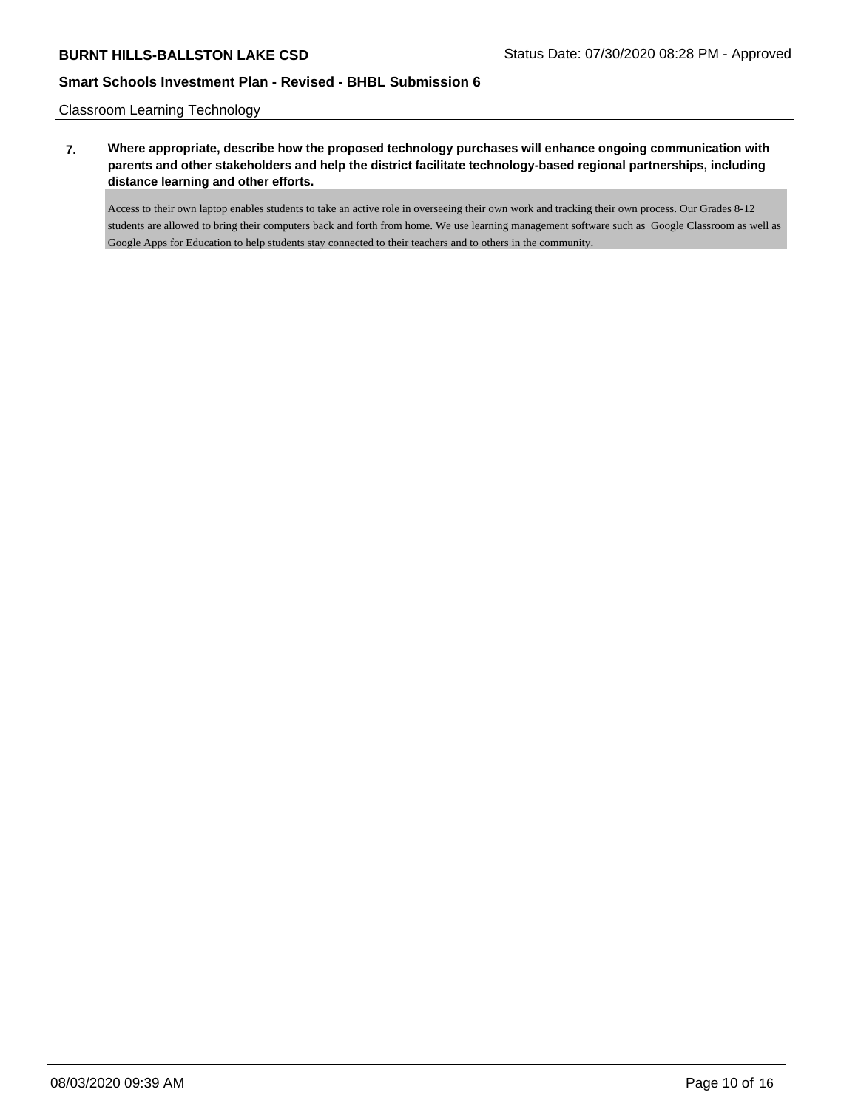Classroom Learning Technology

**7. Where appropriate, describe how the proposed technology purchases will enhance ongoing communication with parents and other stakeholders and help the district facilitate technology-based regional partnerships, including distance learning and other efforts.**

Access to their own laptop enables students to take an active role in overseeing their own work and tracking their own process. Our Grades 8-12 students are allowed to bring their computers back and forth from home. We use learning management software such as Google Classroom as well as Google Apps for Education to help students stay connected to their teachers and to others in the community.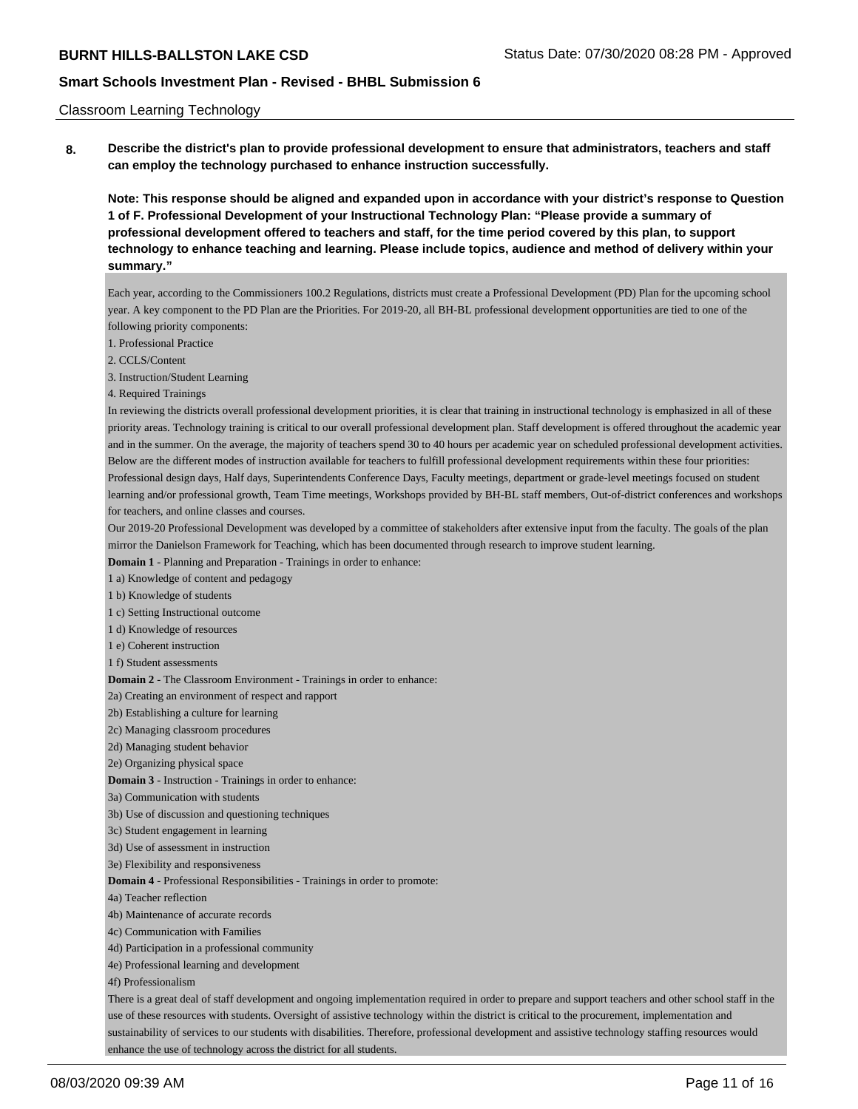### Classroom Learning Technology

**8. Describe the district's plan to provide professional development to ensure that administrators, teachers and staff can employ the technology purchased to enhance instruction successfully.**

**Note: This response should be aligned and expanded upon in accordance with your district's response to Question 1 of F. Professional Development of your Instructional Technology Plan: "Please provide a summary of professional development offered to teachers and staff, for the time period covered by this plan, to support technology to enhance teaching and learning. Please include topics, audience and method of delivery within your summary."**

Each year, according to the Commissioners 100.2 Regulations, districts must create a Professional Development (PD) Plan for the upcoming school year. A key component to the PD Plan are the Priorities. For 2019-20, all BH-BL professional development opportunities are tied to one of the following priority components:

1. Professional Practice

2. CCLS/Content

3. Instruction/Student Learning

4. Required Trainings

In reviewing the districts overall professional development priorities, it is clear that training in instructional technology is emphasized in all of these priority areas. Technology training is critical to our overall professional development plan. Staff development is offered throughout the academic year and in the summer. On the average, the majority of teachers spend 30 to 40 hours per academic year on scheduled professional development activities. Below are the different modes of instruction available for teachers to fulfill professional development requirements within these four priorities: Professional design days, Half days, Superintendents Conference Days, Faculty meetings, department or grade-level meetings focused on student learning and/or professional growth, Team Time meetings, Workshops provided by BH-BL staff members, Out-of-district conferences and workshops for teachers, and online classes and courses.

Our 2019-20 Professional Development was developed by a committee of stakeholders after extensive input from the faculty. The goals of the plan mirror the Danielson Framework for Teaching, which has been documented through research to improve student learning.

**Domain 1** - Planning and Preparation - Trainings in order to enhance:

1 a) Knowledge of content and pedagogy

1 b) Knowledge of students

1 c) Setting Instructional outcome

1 d) Knowledge of resources

1 e) Coherent instruction

1 f) Student assessments

**Domain 2** - The Classroom Environment - Trainings in order to enhance:

2a) Creating an environment of respect and rapport

2b) Establishing a culture for learning

2c) Managing classroom procedures

2d) Managing student behavior

2e) Organizing physical space

**Domain 3** - Instruction - Trainings in order to enhance:

3a) Communication with students

3b) Use of discussion and questioning techniques

3c) Student engagement in learning

3d) Use of assessment in instruction

3e) Flexibility and responsiveness

**Domain 4** - Professional Responsibilities - Trainings in order to promote:

4a) Teacher reflection

4b) Maintenance of accurate records

4c) Communication with Families

4d) Participation in a professional community

4e) Professional learning and development

4f) Professionalism

There is a great deal of staff development and ongoing implementation required in order to prepare and support teachers and other school staff in the use of these resources with students. Oversight of assistive technology within the district is critical to the procurement, implementation and sustainability of services to our students with disabilities. Therefore, professional development and assistive technology staffing resources would enhance the use of technology across the district for all students.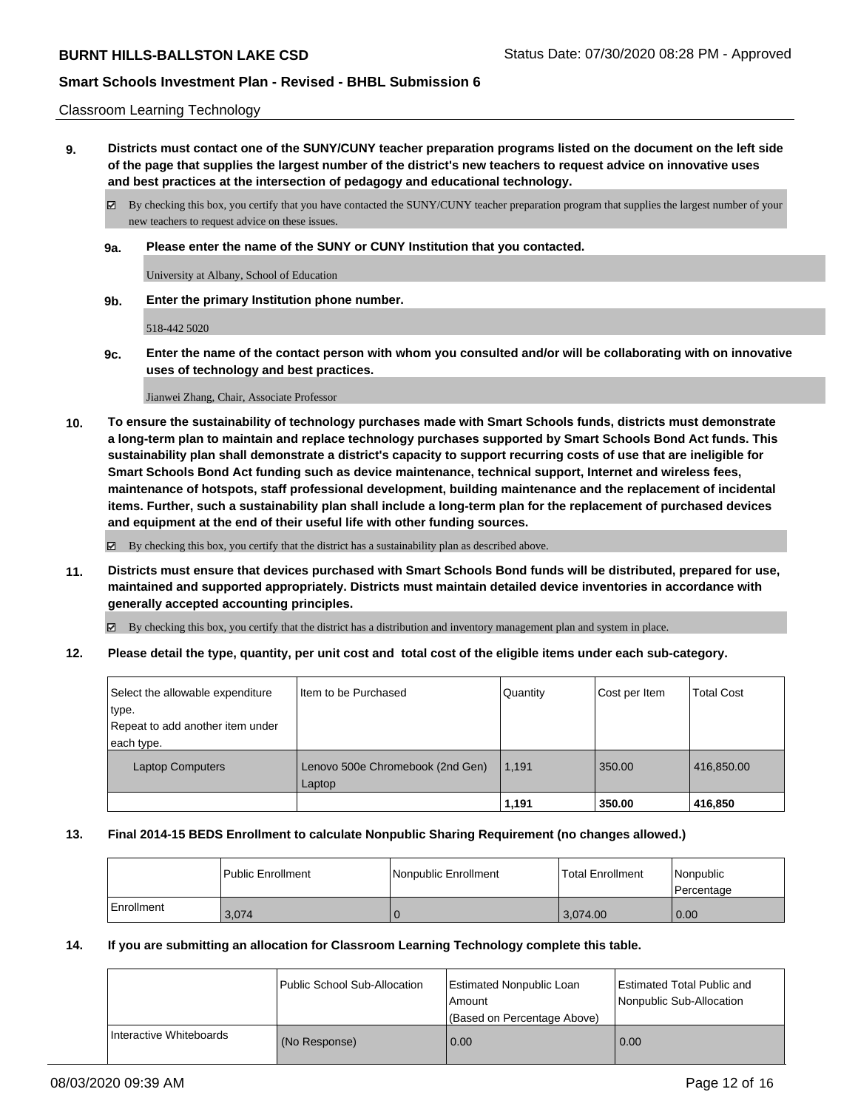## Classroom Learning Technology

**9. Districts must contact one of the SUNY/CUNY teacher preparation programs listed on the document on the left side of the page that supplies the largest number of the district's new teachers to request advice on innovative uses and best practices at the intersection of pedagogy and educational technology.**

By checking this box, you certify that you have contacted the SUNY/CUNY teacher preparation program that supplies the largest number of your new teachers to request advice on these issues.

**9a. Please enter the name of the SUNY or CUNY Institution that you contacted.**

University at Albany, School of Education

**9b. Enter the primary Institution phone number.**

518-442 5020

**9c. Enter the name of the contact person with whom you consulted and/or will be collaborating with on innovative uses of technology and best practices.**

Jianwei Zhang, Chair, Associate Professor

**10. To ensure the sustainability of technology purchases made with Smart Schools funds, districts must demonstrate a long-term plan to maintain and replace technology purchases supported by Smart Schools Bond Act funds. This sustainability plan shall demonstrate a district's capacity to support recurring costs of use that are ineligible for Smart Schools Bond Act funding such as device maintenance, technical support, Internet and wireless fees, maintenance of hotspots, staff professional development, building maintenance and the replacement of incidental items. Further, such a sustainability plan shall include a long-term plan for the replacement of purchased devices and equipment at the end of their useful life with other funding sources.**

By checking this box, you certify that the district has a sustainability plan as described above.

**11. Districts must ensure that devices purchased with Smart Schools Bond funds will be distributed, prepared for use, maintained and supported appropriately. Districts must maintain detailed device inventories in accordance with generally accepted accounting principles.**

By checking this box, you certify that the district has a distribution and inventory management plan and system in place.

**12. Please detail the type, quantity, per unit cost and total cost of the eligible items under each sub-category.**

|                                                                                             |                                            | 1,191    | 350.00        | 416,850           |
|---------------------------------------------------------------------------------------------|--------------------------------------------|----------|---------------|-------------------|
| <b>Laptop Computers</b>                                                                     | Lenovo 500e Chromebook (2nd Gen)<br>Laptop | 1,191    | 350.00        | 416,850.00        |
| Select the allowable expenditure<br>type.<br>Repeat to add another item under<br>each type. | I Item to be Purchased                     | Quantity | Cost per Item | <b>Total Cost</b> |
|                                                                                             |                                            |          |               |                   |

### **13. Final 2014-15 BEDS Enrollment to calculate Nonpublic Sharing Requirement (no changes allowed.)**

|              | l Public Enrollment | Nonpublic Enrollment | <b>Total Enrollment</b> | l Nonpublic<br>l Percentage |
|--------------|---------------------|----------------------|-------------------------|-----------------------------|
| l Enrollment | 3.074               |                      | 3.074.00                | 0.00                        |

### **14. If you are submitting an allocation for Classroom Learning Technology complete this table.**

|                         | Public School Sub-Allocation | <b>Estimated Nonpublic Loan</b><br>Amount<br>(Based on Percentage Above) | Estimated Total Public and<br>Nonpublic Sub-Allocation |
|-------------------------|------------------------------|--------------------------------------------------------------------------|--------------------------------------------------------|
| Interactive Whiteboards | (No Response)                | 0.00                                                                     | 0.00                                                   |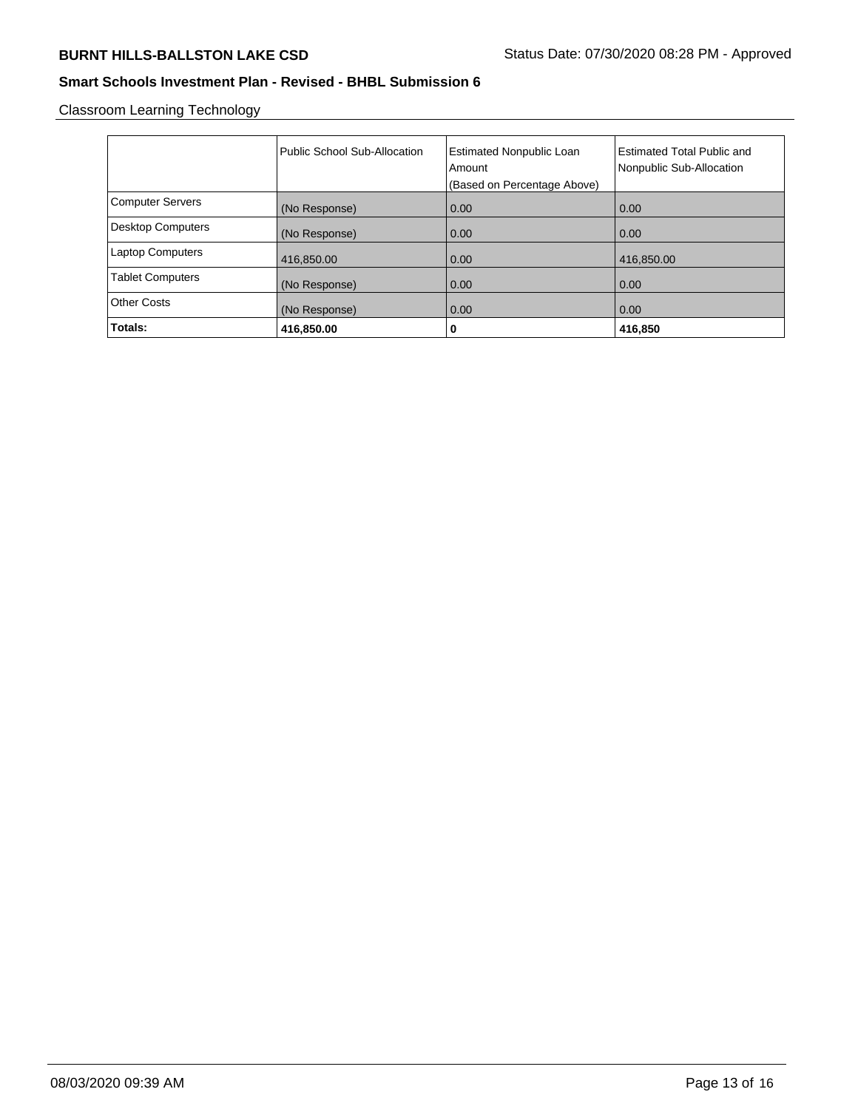Classroom Learning Technology

|                          | Public School Sub-Allocation | <b>Estimated Nonpublic Loan</b><br>Amount<br>(Based on Percentage Above) | Estimated Total Public and<br>Nonpublic Sub-Allocation |
|--------------------------|------------------------------|--------------------------------------------------------------------------|--------------------------------------------------------|
| <b>Computer Servers</b>  | (No Response)                | 0.00                                                                     | 0.00                                                   |
| <b>Desktop Computers</b> | (No Response)                | 0.00                                                                     | 0.00                                                   |
| <b>Laptop Computers</b>  | 416,850.00                   | 0.00                                                                     | 416,850.00                                             |
| <b>Tablet Computers</b>  | (No Response)                | 0.00                                                                     | 0.00                                                   |
| <b>Other Costs</b>       | (No Response)                | 0.00                                                                     | 0.00                                                   |
| Totals:                  | 416,850.00                   | 0                                                                        | 416,850                                                |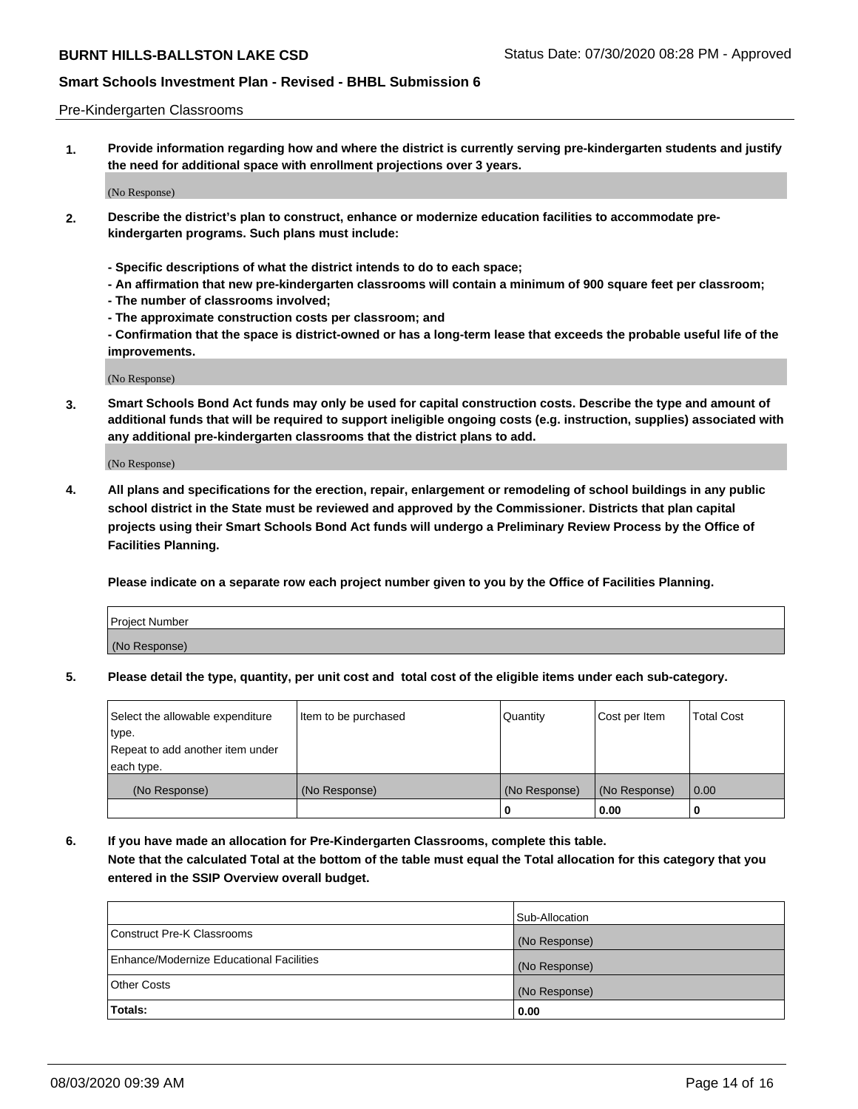### Pre-Kindergarten Classrooms

**1. Provide information regarding how and where the district is currently serving pre-kindergarten students and justify the need for additional space with enrollment projections over 3 years.**

(No Response)

- **2. Describe the district's plan to construct, enhance or modernize education facilities to accommodate prekindergarten programs. Such plans must include:**
	- **Specific descriptions of what the district intends to do to each space;**
	- **An affirmation that new pre-kindergarten classrooms will contain a minimum of 900 square feet per classroom;**
	- **The number of classrooms involved;**
	- **The approximate construction costs per classroom; and**
	- **Confirmation that the space is district-owned or has a long-term lease that exceeds the probable useful life of the improvements.**

(No Response)

**3. Smart Schools Bond Act funds may only be used for capital construction costs. Describe the type and amount of additional funds that will be required to support ineligible ongoing costs (e.g. instruction, supplies) associated with any additional pre-kindergarten classrooms that the district plans to add.**

(No Response)

**4. All plans and specifications for the erection, repair, enlargement or remodeling of school buildings in any public school district in the State must be reviewed and approved by the Commissioner. Districts that plan capital projects using their Smart Schools Bond Act funds will undergo a Preliminary Review Process by the Office of Facilities Planning.**

**Please indicate on a separate row each project number given to you by the Office of Facilities Planning.**

| Project Number |  |
|----------------|--|
| (No Response)  |  |
|                |  |

**5. Please detail the type, quantity, per unit cost and total cost of the eligible items under each sub-category.**

| Select the allowable expenditure | Item to be purchased | Quantity      | Cost per Item | <b>Total Cost</b> |
|----------------------------------|----------------------|---------------|---------------|-------------------|
| type.                            |                      |               |               |                   |
| Repeat to add another item under |                      |               |               |                   |
| each type.                       |                      |               |               |                   |
| (No Response)                    | (No Response)        | (No Response) | (No Response) | 0.00              |
|                                  |                      | o             | 0.00          | u                 |

**6. If you have made an allocation for Pre-Kindergarten Classrooms, complete this table. Note that the calculated Total at the bottom of the table must equal the Total allocation for this category that you entered in the SSIP Overview overall budget.**

|                                          | Sub-Allocation |
|------------------------------------------|----------------|
| Construct Pre-K Classrooms               | (No Response)  |
| Enhance/Modernize Educational Facilities | (No Response)  |
| <b>Other Costs</b>                       | (No Response)  |
| Totals:                                  | 0.00           |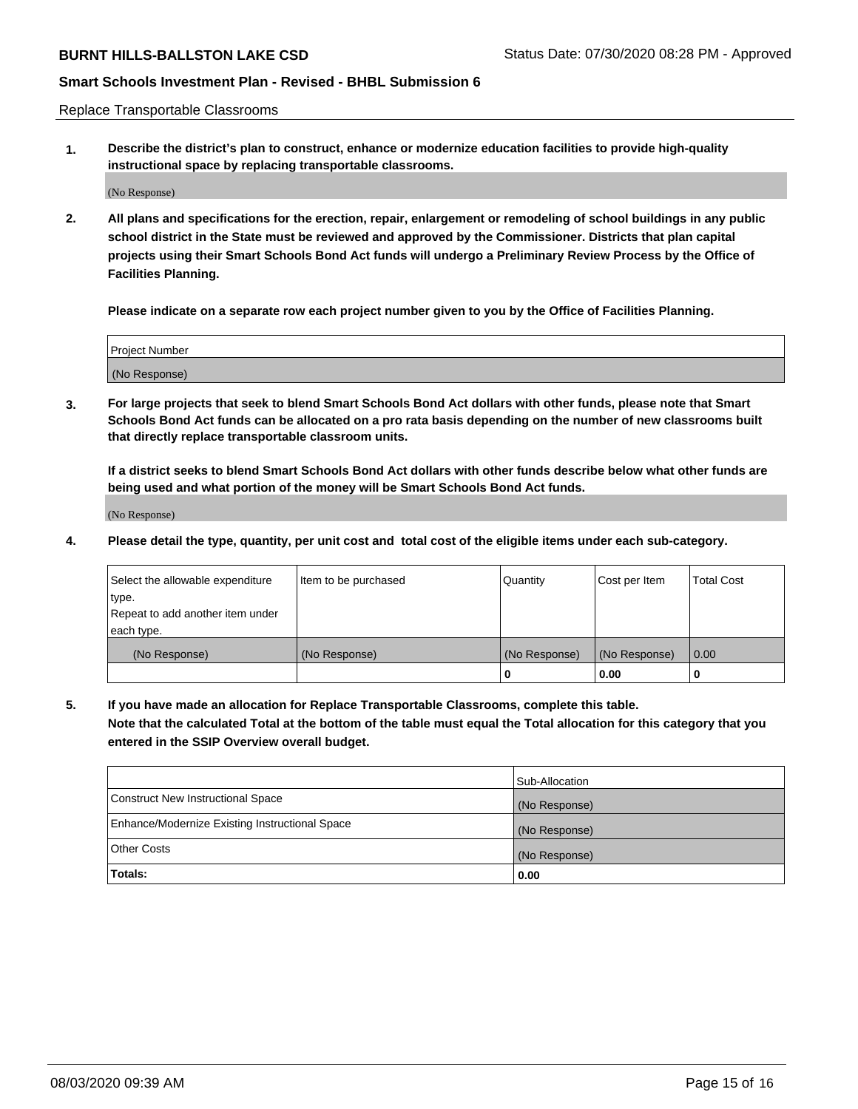Replace Transportable Classrooms

**1. Describe the district's plan to construct, enhance or modernize education facilities to provide high-quality instructional space by replacing transportable classrooms.**

(No Response)

**2. All plans and specifications for the erection, repair, enlargement or remodeling of school buildings in any public school district in the State must be reviewed and approved by the Commissioner. Districts that plan capital projects using their Smart Schools Bond Act funds will undergo a Preliminary Review Process by the Office of Facilities Planning.**

**Please indicate on a separate row each project number given to you by the Office of Facilities Planning.**

| Project Number |  |
|----------------|--|
|                |  |
|                |  |
|                |  |
|                |  |
| (No Response)  |  |
|                |  |
|                |  |
|                |  |

**3. For large projects that seek to blend Smart Schools Bond Act dollars with other funds, please note that Smart Schools Bond Act funds can be allocated on a pro rata basis depending on the number of new classrooms built that directly replace transportable classroom units.**

**If a district seeks to blend Smart Schools Bond Act dollars with other funds describe below what other funds are being used and what portion of the money will be Smart Schools Bond Act funds.**

(No Response)

**4. Please detail the type, quantity, per unit cost and total cost of the eligible items under each sub-category.**

| Select the allowable expenditure | Item to be purchased | Quantity      | Cost per Item | <b>Total Cost</b> |
|----------------------------------|----------------------|---------------|---------------|-------------------|
| ∣type.                           |                      |               |               |                   |
| Repeat to add another item under |                      |               |               |                   |
| each type.                       |                      |               |               |                   |
| (No Response)                    | (No Response)        | (No Response) | (No Response) | 0.00              |
|                                  |                      | 0             | 0.00          |                   |

**5. If you have made an allocation for Replace Transportable Classrooms, complete this table. Note that the calculated Total at the bottom of the table must equal the Total allocation for this category that you entered in the SSIP Overview overall budget.**

|                                                | Sub-Allocation |
|------------------------------------------------|----------------|
| Construct New Instructional Space              | (No Response)  |
| Enhance/Modernize Existing Instructional Space | (No Response)  |
| <b>Other Costs</b>                             | (No Response)  |
| Totals:                                        | 0.00           |